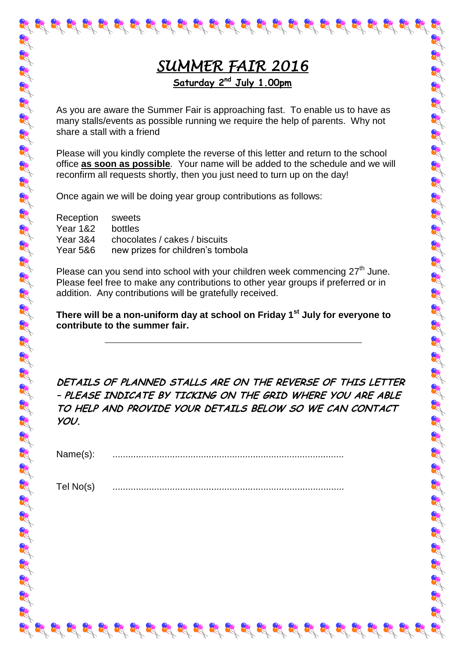# *SUMMER FAIR 2016*  **Saturday 2nd July 1.00pm**

As you are aware the Summer Fair is approaching fast. To enable us to have as many stalls/events as possible running we require the help of parents. Why not share a stall with a friend

Please will you kindly complete the reverse of this letter and return to the school office **as soon as possible***.* Your name will be added to the schedule and we will reconfirm all requests shortly, then you just need to turn up on the day!

Once again we will be doing year group contributions as follows:

| Reception sweets                  |
|-----------------------------------|
| bottles                           |
| chocolates / cakes / biscuits     |
| new prizes for children's tombola |
|                                   |

Please can you send into school with your children week commencing  $27<sup>th</sup>$  June. Please feel free to make any contributions to other year groups if preferred or in addition. Any contributions will be gratefully received.

### **There will be a non-uniform day at school on Friday 1st July for everyone to contribute to the summer fair.**

**DETAILS OF PLANNED STALLS ARE ON THE REVERSE OF THIS LETTER – PLEASE INDICATE BY TICKING ON THE GRID WHERE YOU ARE ABLE TO HELP AND PROVIDE YOUR DETAILS BELOW SO WE CAN CONTACT YOU.**

प्रद्ध प्रद्ध प्रद्ध प्रद्ध प्रद्ध प्रद्ध प्रद्ध प्रद्ध प्रद्ध प्रद्ध प्रद्ध प्रद्ध प्रद्ध प्रद

| Name(s) |  |
|---------|--|

Tel No(s)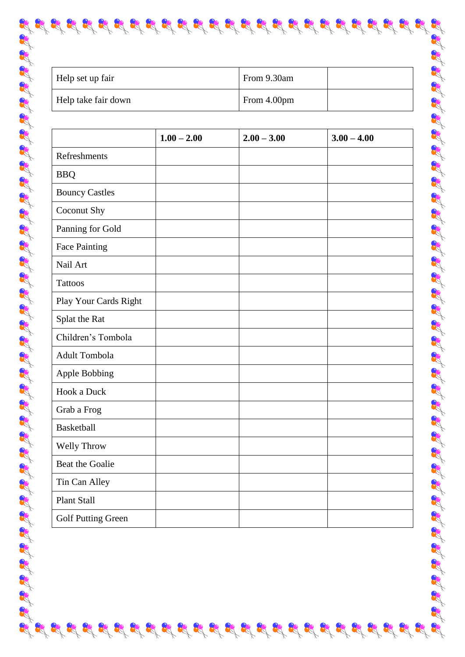| Help set up fair    | From 9.30am |  |
|---------------------|-------------|--|
| Help take fair down | From 4.00pm |  |

 $\mathcal{G}^{*}_{\mathcal{G}}\mathcal{G}^{*}_{\mathcal{G}}\mathcal{G}^{*}_{\mathcal{G}}\mathcal{G}^{*}_{\mathcal{G}}\mathcal{G}^{*}_{\mathcal{G}}\mathcal{G}^{*}_{\mathcal{G}}\mathcal{G}^{*}_{\mathcal{G}}\mathcal{G}^{*}_{\mathcal{G}}\mathcal{G}^{*}_{\mathcal{G}}\mathcal{G}^{*}_{\mathcal{G}}\mathcal{G}^{*}_{\mathcal{G}}\mathcal{G}^{*}_{\mathcal{G}}\mathcal{G}^{*}_{\mathcal{G}}\mathcal{G}^{*}_{\mathcal{G}}\mathcal{G}^{*}_{\$ 

|                           | $1.00 - 2.00$ | $2.00 - 3.00$ | $3.00 - 4.00$ |
|---------------------------|---------------|---------------|---------------|
| Refreshments              |               |               |               |
| <b>BBQ</b>                |               |               |               |
| <b>Bouncy Castles</b>     |               |               |               |
| Coconut Shy               |               |               |               |
| Panning for Gold          |               |               |               |
| <b>Face Painting</b>      |               |               |               |
| Nail Art                  |               |               |               |
| <b>Tattoos</b>            |               |               |               |
| Play Your Cards Right     |               |               |               |
| Splat the Rat             |               |               |               |
| Children's Tombola        |               |               |               |
| Adult Tombola             |               |               |               |
| <b>Apple Bobbing</b>      |               |               |               |
| Hook a Duck               |               |               |               |
| Grab a Frog               |               |               |               |
| <b>Basketball</b>         |               |               |               |
| Welly Throw               |               |               |               |
| Beat the Goalie           |               |               |               |
| Tin Can Alley             |               |               |               |
| <b>Plant Stall</b>        |               |               |               |
| <b>Golf Putting Green</b> |               |               |               |

22

Report

89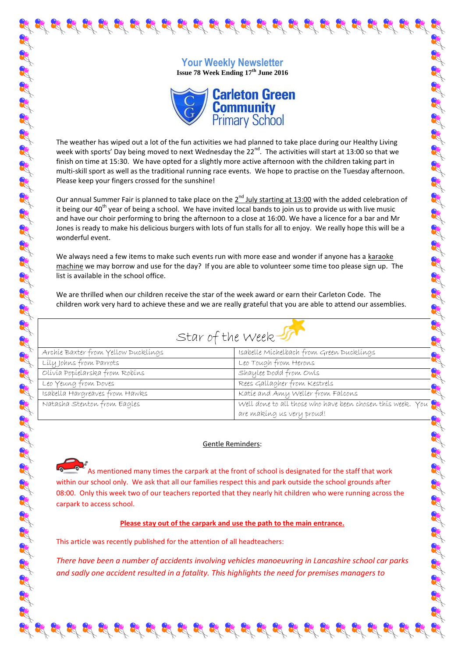## **Your Weekly Newsletter Issue 78 Week Ending 17th June 2016**

क्ष के क्ष के के लिए के मुख्य के क्षेत्र में बन के के लिए के मुख्य के लिए के लिए क्षेत्र के लिए क्षेत्र के लिए



The weather has wiped out a lot of the fun activities we had planned to take place during our Healthy Living week with sports' Day being moved to next Wednesday the 22<sup>nd</sup>. The activities will start at 13:00 so that we finish on time at 15:30. We have opted for a slightly more active afternoon with the children taking part in multi-skill sport as well as the traditional running race events. We hope to practise on the Tuesday afternoon. Please keep your fingers crossed for the sunshine!

Our annual Summer Fair is planned to take place on the 2<sup>nd</sup> July starting at 13:00 with the added celebration of it being our  $40^{th}$  year of being a school. We have invited local bands to join us to provide us with live music and have our choir performing to bring the afternoon to a close at 16:00. We have a licence for a bar and Mr Jones is ready to make his delicious burgers with lots of fun stalls for all to enjoy. We really hope this will be a wonderful event.

We always need a few items to make such events run with more ease and wonder if anyone has a karaoke machine we may borrow and use for the day? If you are able to volunteer some time too please sign up. The list is available in the school office.

We are thrilled when our children receive the star of the week award or earn their Carleton Code. The children work very hard to achieve these and we are really grateful that you are able to attend our assemblies.

| Archie Baxter from Yellow Ducklings                                        | Isabelle Michelbach from Green Ducklings                                                                                                                                                                                    |
|----------------------------------------------------------------------------|-----------------------------------------------------------------------------------------------------------------------------------------------------------------------------------------------------------------------------|
| Lily Johns from Parrots                                                    | Leo Tough from Herons                                                                                                                                                                                                       |
| Olívía Popíelarska from Robíns                                             | Shaylee Dodd from Owls                                                                                                                                                                                                      |
| Leo Yeung from Doves                                                       | Rees Gallagher from Kestrels                                                                                                                                                                                                |
| Isabella Hargreaves from Hawks                                             | Katie and Amy Weller from Falcons                                                                                                                                                                                           |
| Natasha Stenton from Eagles                                                | Katie and Amy Weller from Funcons<br>Well done to all those who have been chosen this week. You<br>are making us very proud!                                                                                                |
|                                                                            | <b>Gentle Reminders:</b><br>As mentioned many times the carpark at the front of school is designated for the staff that work                                                                                                |
| carpark to access school.                                                  | within our school only. We ask that all our families respect this and park outside the school grounds after<br>08:00. Only this week two of our teachers reported that they nearly hit children who were running across the |
|                                                                            | Please stay out of the carpark and use the path to the main entrance.                                                                                                                                                       |
| This article was recently published for the attention of all headteachers: |                                                                                                                                                                                                                             |

#### Gentle Reminders:

#### **Please stay out of the carpark and use the path to the main entrance.**